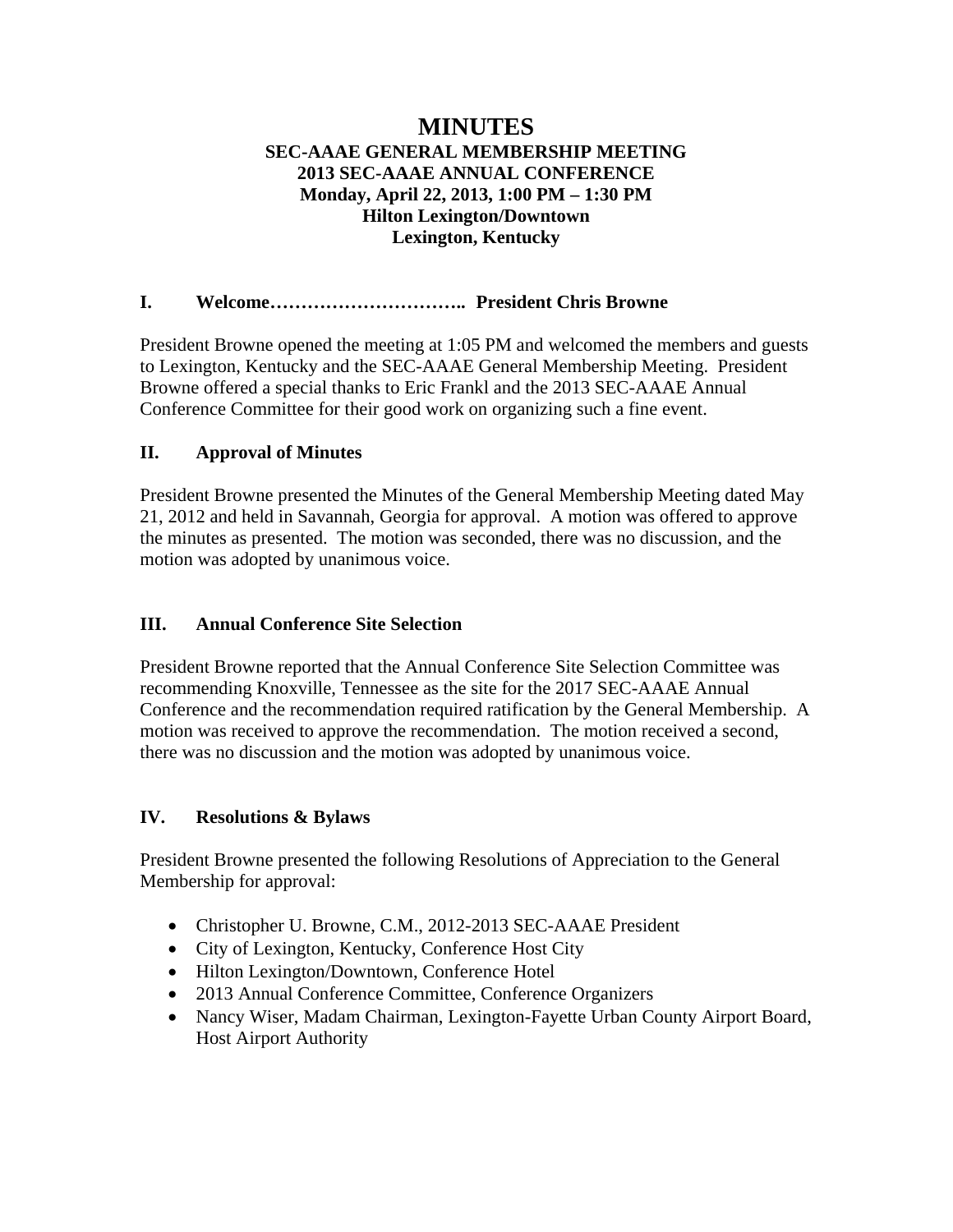# **MINUTES SEC-AAAE GENERAL MEMBERSHIP MEETING 2013 SEC-AAAE ANNUAL CONFERENCE Monday, April 22, 2013, 1:00 PM – 1:30 PM Hilton Lexington/Downtown Lexington, Kentucky**

### **I. Welcome………………………….. President Chris Browne**

President Browne opened the meeting at 1:05 PM and welcomed the members and guests to Lexington, Kentucky and the SEC-AAAE General Membership Meeting. President Browne offered a special thanks to Eric Frankl and the 2013 SEC-AAAE Annual Conference Committee for their good work on organizing such a fine event.

### **II. Approval of Minutes**

President Browne presented the Minutes of the General Membership Meeting dated May 21, 2012 and held in Savannah, Georgia for approval. A motion was offered to approve the minutes as presented. The motion was seconded, there was no discussion, and the motion was adopted by unanimous voice.

# **III. Annual Conference Site Selection**

President Browne reported that the Annual Conference Site Selection Committee was recommending Knoxville, Tennessee as the site for the 2017 SEC-AAAE Annual Conference and the recommendation required ratification by the General Membership. A motion was received to approve the recommendation. The motion received a second, there was no discussion and the motion was adopted by unanimous voice.

#### **IV. Resolutions & Bylaws**

President Browne presented the following Resolutions of Appreciation to the General Membership for approval:

- Christopher U. Browne, C.M., 2012-2013 SEC-AAAE President
- City of Lexington, Kentucky, Conference Host City
- Hilton Lexington/Downtown, Conference Hotel
- 2013 Annual Conference Committee, Conference Organizers
- Nancy Wiser, Madam Chairman, Lexington-Fayette Urban County Airport Board, Host Airport Authority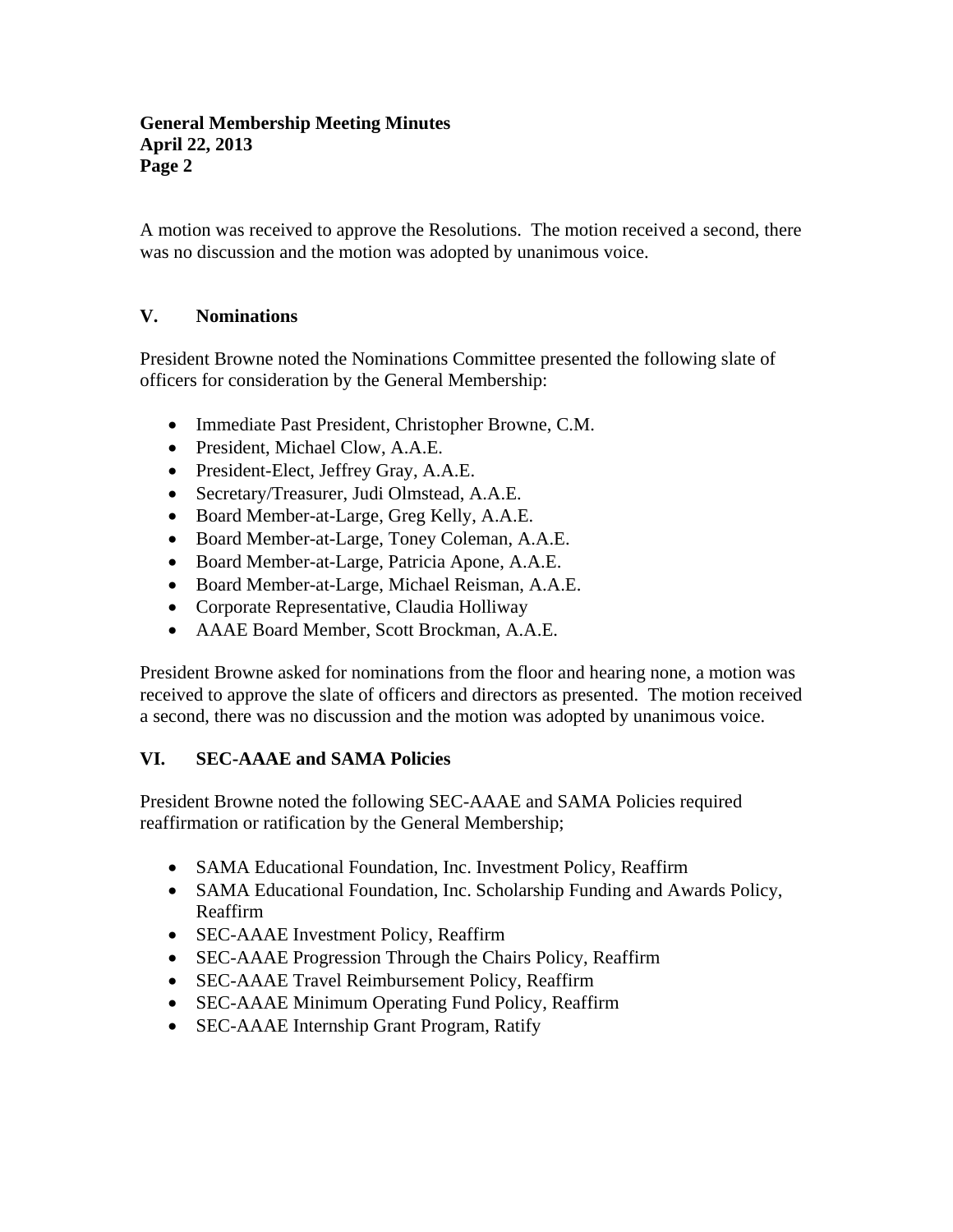#### **General Membership Meeting Minutes April 22, 2013 Page 2**

A motion was received to approve the Resolutions. The motion received a second, there was no discussion and the motion was adopted by unanimous voice.

# **V. Nominations**

President Browne noted the Nominations Committee presented the following slate of officers for consideration by the General Membership:

- Immediate Past President, Christopher Browne, C.M.
- President, Michael Clow, A.A.E.
- President-Elect, Jeffrey Gray, A.A.E.
- Secretary/Treasurer, Judi Olmstead, A.A.E.
- Board Member-at-Large, Greg Kelly, A.A.E.
- Board Member-at-Large, Toney Coleman, A.A.E.
- Board Member-at-Large, Patricia Apone, A.A.E.
- Board Member-at-Large, Michael Reisman, A.A.E.
- Corporate Representative, Claudia Holliway
- AAAE Board Member, Scott Brockman, A.A.E.

President Browne asked for nominations from the floor and hearing none, a motion was received to approve the slate of officers and directors as presented. The motion received a second, there was no discussion and the motion was adopted by unanimous voice.

# **VI. SEC-AAAE and SAMA Policies**

President Browne noted the following SEC-AAAE and SAMA Policies required reaffirmation or ratification by the General Membership;

- SAMA Educational Foundation, Inc. Investment Policy, Reaffirm
- SAMA Educational Foundation, Inc. Scholarship Funding and Awards Policy, Reaffirm
- SEC-AAAE Investment Policy, Reaffirm
- SEC-AAAE Progression Through the Chairs Policy, Reaffirm
- SEC-AAAE Travel Reimbursement Policy, Reaffirm
- SEC-AAAE Minimum Operating Fund Policy, Reaffirm
- SEC-AAAE Internship Grant Program, Ratify